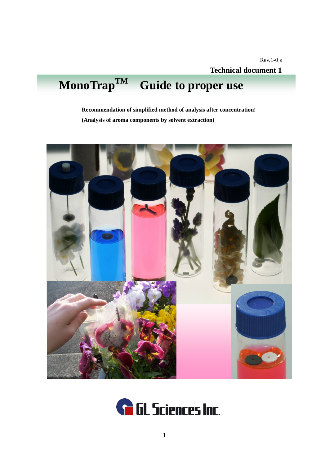# **MonoTrapTM Guide to proper use**

**Recommendation of simplified method of analysis after concentration! (Analysis of aroma components by solvent extraction)** 



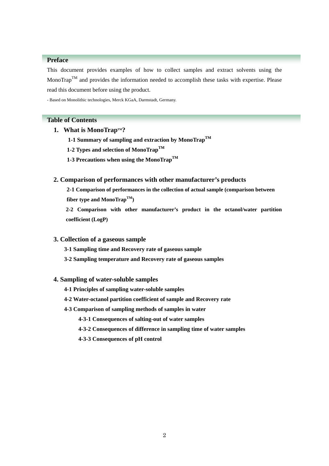# **Preface**

This document provides examples of how to collect samples and extract solvents using the MonoTrap<sup>TM</sup> and provides the information needed to accomplish these tasks with expertise. Please read this document before using the product.

- Based on Monolithic technologies, Merck KGaA, Darmstadt, Germany.

# **Table of Contents**

- 1. What is MonoTrap<sup>TM</sup>?
	- **1-1 Summary of sampling and extraction by MonoTrapTM**
	- **1-2 Types and selection of MonoTrapTM**
	- **1-3 Precautions when using the MonoTrapTM**

# **2. Comparison of performances with other manufacturer's products**

**2-1 Comparison of performances in the collection of actual sample (comparison between fiber type and MonoTrapTM)** 

**2-2 Comparison with other manufacturer's product in the octanol/water partition coefficient (LogP)** 

## **3. Collection of a gaseous sample**

- **3-1 Sampling time and Recovery rate of gaseous sample**
- **3-2 Sampling temperature and Recovery rate of gaseous samples**

#### **4. Sampling of water-soluble samples**

- **4-1 Principles of sampling water-soluble samples**
- **4-2 Water-octanol partition coefficient of sample and Recovery rate**

#### **4-3 Comparison of sampling methods of samples in water**

- **4-3-1 Consequences of salting-out of water samples**
- **4-3-2 Consequences of difference in sampling time of water samples**
- **4-3-3 Consequences of pH control**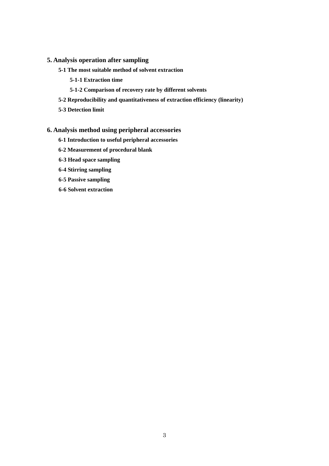# **5. Analysis operation after sampling**

- **5-1 The most suitable method of solvent extraction** 
	- **5-1-1 Extraction time**
	- **5-1-2 Comparison of recovery rate by different solvents**
- **5-2 Reproducibility and quantitativeness of extraction efficiency (linearity)**
- **5-3 Detection limit**

# **6. Analysis method using peripheral accessories**

- **6-1 Introduction to useful peripheral accessories**
- **6-2 Measurement of procedural blank**
- **6-3 Head space sampling**
- **6-4 Stirring sampling**
- **6-5 Passive sampling**
- **6-6 Solvent extraction**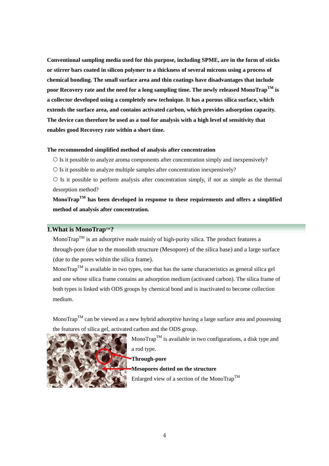**Conventional sampling media used for this purpose, including SPME, are in the form of sticks or stirrer bars coated in silicon polymer to a thickness of several microns using a process of chemical bonding. The small surface area and thin coatings have disadvantages that include poor Recovery rate and the need for a long sampling time. The newly released MonoTrapTM is a collector developed using a completely new technique. It has a porous silica surface, which extends the surface area, and contains activated carbon, which provides adsorption capacity. The device can therefore be used as a tool for analysis with a high level of sensitivity that enables good Recovery rate within a short time.** 

#### **The recommended simplified method of analysis after concentration**

 $\circ$  Is it possible to analyze aroma components after concentration simply and inexpensively?

 ${\rm O}$  Is it possible to analyze multiple samples after concentration inexpensively?

 $\circ$  Is it possible to perform analysis after concentration simply, if not as simple as the thermal desorption method?

**MonoTrapTM has been developed in response to these requirements and offers a simplified method of analysis after concentration.** 

# **1.What is MonoTrap™?**

Mono $\text{Trap}^{\text{TM}}$  is an adsorptive made mainly of high-purity silica. The product features a through-pore (due to the monolith structure (Mesopore) of the silica base) and a large surface (due to the pores within the silica frame).

MonoTrap<sup>TM</sup> is available in two types, one that has the same characteristics as general silica gel and one whose silica frame contains an adsorption medium (activated carbon). The silica frame of both types is linked with ODS groups by chemical bond and is inactivated to become collection medium.

MonoTrap<sup>TM</sup> can be viewed as a new hybrid adsorptive having a large surface area and possessing the features of silica gel, activated carbon and the ODS group.



Mono $\text{Trap}^{\text{TM}}$  is available in two configurations, a disk type and a rod type.

**Through-pore** 

**Mesopores dotted on the structure**  Enlarged view of a section of the MonoTrap<sup>TM</sup>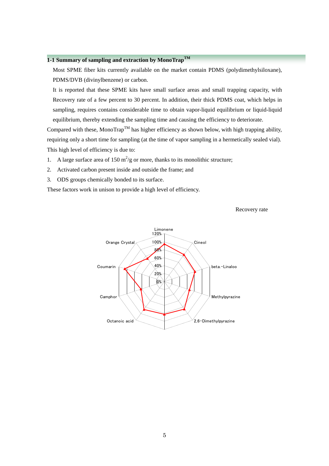# **1-1 Summary of sampling and extraction by MonoTrapTM**

Most SPME fiber kits currently available on the market contain PDMS (polydimethylsiloxane), PDMS/DVB (divinylbenzene) or carbon.

It is reported that these SPME kits have small surface areas and small trapping capacity, with Recovery rate of a few percent to 30 percent. In addition, their thick PDMS coat, which helps in sampling, requires contains considerable time to obtain vapor-liquid equilibrium or liquid-liquid equilibrium, thereby extending the sampling time and causing the efficiency to deteriorate.

Compared with these, MonoTrap<sup>TM</sup> has higher efficiency as shown below, with high trapping ability, requiring only a short time for sampling (at the time of vapor sampling in a hermetically sealed vial). This high level of efficiency is due to:

- 1. A large surface area of  $150 \text{ m}^2/\text{g}$  or more, thanks to its monolithic structure;
- 2. Activated carbon present inside and outside the frame; and
- 3. ODS groups chemically bonded to its surface.

These factors work in unison to provide a high level of efficiency.

Recovery rate

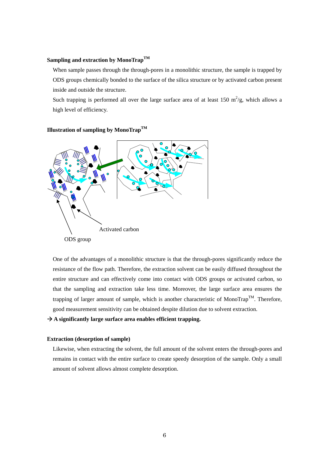## **Sampling and extraction by MonoTrapTM**

When sample passes through the through-pores in a monolithic structure, the sample is trapped by ODS groups chemically bonded to the surface of the silica structure or by activated carbon present inside and outside the structure.

Such trapping is performed all over the large surface area of at least 150  $\text{m}^2/\text{g}$ , which allows a high level of efficiency.



**Illustration of sampling by MonoTrapTM** 

trapping of larger amount of sample, which is another characteristic of MonoTrap<sup>TM</sup>. Therefore, good measurement sensitivity can be obtained despite dilution due to solvent extraction. One of the advantages of a monolithic structure is that the through-pores significantly reduce the resistance of the flow path. Therefore, the extraction solvent can be easily diffused throughout the entire structure and can effectively come into contact with ODS groups or activated carbon, so that the sampling and extraction take less time. Moreover, the large surface area ensures the

→ A significantly large surface area enables efficient trapping.

#### **E xtraction (desorption of sample)**

remains in contact with the entire surface to create speedy desorption of the sample. Only a small amount of solvent allows almost complete desorption. Likewise, when extracting the solvent, the full amount of the solvent enters the through-pores and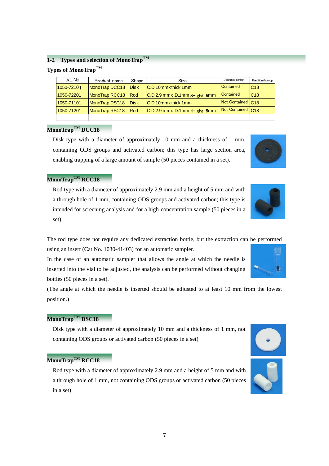# **1-2 Types and selection of MonoTrapTM**

# **Types of MonoTrapTM**

| cat.No     | Product name   | Shape        | <b>Size</b>                               | Activated carbon              | Functional group |
|------------|----------------|--------------|-------------------------------------------|-------------------------------|------------------|
| 1050-72101 | MonoTrap DCC18 | <b>IDisk</b> | <b>IO.D.10mmx thick 1mm</b>               | Contained                     | C <sub>18</sub>  |
| 1050-72201 | MonoTrap RCC18 | <b>Rod</b>   | $[O.D.2.9$ mmxl.D.1mm $x$ Hight 5mm       | Contained                     | C <sub>18</sub>  |
| 1050-71101 | MonoTrap DSC18 | <b>IDisk</b> | <b>IO.D.10mmx thick 1mm</b>               | Not Contained C18             |                  |
| 1050-71201 | MonoTrap RSC18 | <b>Rod</b>   | O.D.2.9 mmxl.D.1mm x <sub>Hight</sub> 5mm | Not Contained C <sub>18</sub> |                  |
|            |                |              |                                           |                               |                  |

# **MonoTrapTM DCC18**

Disk type with a diameter of approximately 10 mm and a thickness of 1 mm, containing ODS groups and activated carbon; this type has large section area, enabling trapping of a large amount of sample (50 pieces contained in a set).

# **MonoTrapTM RCC18**

Rod type with a diameter of approximately 2.9 mm and a height of 5 mm and with a through hole of 1 mm, containing ODS groups and activated carbon; this type is intended for screening analysis and for a high-concentration sample (50 pieces in a set).

The rod type does not require any dedicated extraction bottle, but the extraction can be performed using an insert (Cat No. 1030-41403) for an automatic sampler.

In the case of an automatic sampler that allows the angle at which the needle is inserted into the vial to be adjusted, the analysis can be performed without changing bottles (50 pieces in a set).

(The angle at which the needle is inserted should be adjusted to at least 10 mm from the lowest position.)

# **MonoTrapTM DSC18**

Disk type with a diameter of approximately 10 mm and a thickness of 1 mm, not containing ODS groups or activated carbon (50 pieces in a set)

# **MonoTrapTM RCC18**

7

Rod type with a diameter of approximately 2.9 mm and a height of 5 mm and with a through hole of 1 mm, not containing ODS groups or activated carbon (50 pieces in a set)





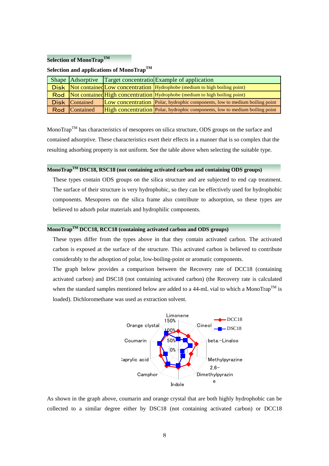#### **Selection of MonoTrapTM**

# **Selection and applications of MonoTrapTM**

|                | Shape Adsorptive Target concentratio Example of application                           |
|----------------|---------------------------------------------------------------------------------------|
|                | <b>Disk</b> Not contained Low concentration Hydrophobe (medium to high boiling point) |
|                | Rod Not contained High concentration Hydrophobe (medium to high boiling point)        |
| Disk Contained | Low concentration Polar, hydrophic components, low to medium boiling point            |
| Rod Contained  | High concentration Polar, hydrophic components, low to medium boiling point           |

MonoTrap<sup>TM</sup> has characteristics of mesopores on silica structure, ODS groups on the surface and contained adsorptive. These characteristics exert their effects in a manner that is so complex that the resulting adsorbing property is not uniform. See the table above when selecting the suitable type.

# **MonoTrapTM DSC18, RSC18 (not containing activated carbon and containing ODS groups)**

These types contain ODS groups on the silica structure and are subjected to end cap treatment. The surface of their structure is very hydrophobic, so they can be effectively used for hydrophobic components. Mesopores on the silica frame also contribute to adsorption, so these types are believed to adsorb polar materials and hydrophilic components.

# **MonoTrapTM DCC18, RCC18 (containing activated carbon and ODS groups)**

These types differ from the types above in that they contain activated carbon. The activated carbon is exposed at the surface of the structure. This activated carbon is believed to contribute considerably to the adsoption of polar, low-boiling-point or aromatic components.

The graph below provides a comparison between the Recovery rate of DCC18 (containing activated carbon) and DSC18 (not containing activated carbon) (the Recovery rate is calculated when the standard samples mentioned below are added to a 44-mL vial to which a MonoTrap<sup>TM</sup> is loaded). Dichloromethane was used as extraction solvent.



As shown in the graph above, coumarin and orange crystal that are both highly hydrophobic can be collected to a similar degree either by DSC18 (not containing activated carbon) or DCC18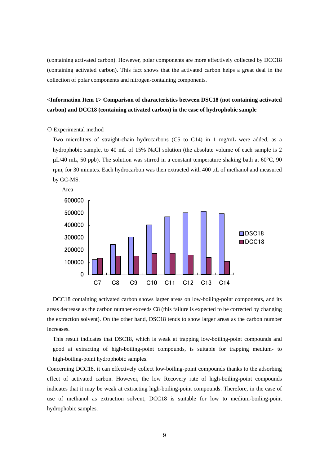(containing activated carbon). However, polar components are more effectively collected by DCC18 (containing activated carbon). This fact shows that the activated carbon helps a great deal in the collection of polar components and nitrogen-containing components.

# **<Information Item 1> Comparison of characteristics between DSC18 (not containing activated carbon) and DCC18 (containing activated carbon) in the case of hydrophobic sample**

#### { Experimental method

Two microliters of straight-chain hydrocarbons (C5 to C14) in 1 mg/mL were added, as a hydrophobic sample, to 40 mL of 15% NaCl solution (the absolute volume of each sample is 2  $\mu$ L/40 mL, 50 ppb). The solution was stirred in a constant temperature shaking bath at 60°C, 90 rpm, for 30 minutes. Each hydrocarbon was then extracted with 400 μL of methanol and measured by GC-MS.



DCC18 containing activated carbon shows larger areas on low-boiling-point components, and its areas decrease as the carbon number exceeds C8 (this failure is expected to be corrected by changing the extraction solvent). On the other hand, DSC18 tends to show larger areas as the carbon number increases.

This result indicates that DSC18, which is weak at trapping low-boiling-point compounds and good at extracting of high-boiling-point compounds, is suitable for trapping medium- to high-boiling-point hydrophobic samples.

Concerning DCC18, it can effectively collect low-boiling-point compounds thanks to the adsorbing effect of activated carbon. However, the low Recovery rate of high-boiling-point compounds indicates that it may be weak at extracting high-boiling-point compounds. Therefore, in the case of use of methanol as extraction solvent, DCC18 is suitable for low to medium-boiling-point hydrophobic samples.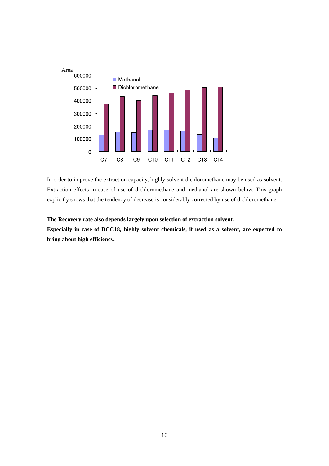

In order to improve the extraction capacity, highly solvent dichloromethane may be used as solvent. Extraction effects in case of use of dichloromethane and methanol are shown below. This graph explicitly shows that the tendency of decrease is considerably corrected by use of dichloromethane.

#### **The Recovery rate also depends largely upon selection of extraction solvent.**

**Especially in case of DCC18, highly solvent chemicals, if used as a solvent, are expected to bring about high efficiency.**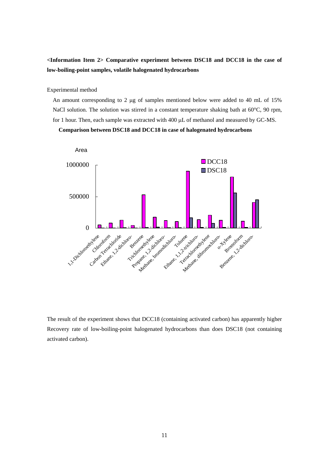# **<Information Item 2> Comparative experiment between DSC18 and DCC18 in the case of low-boiling-point samples, volatile halogenated hydrocarbons**

Experimental method

An amount corresponding to 2 μg of samples mentioned below were added to 40 mL of 15% NaCl solution. The solution was stirred in a constant temperature shaking bath at 60°C, 90 rpm, for 1 hour. Then, each sample was extracted with 400 μL of methanol and measured by GC-MS.

#### **Comparison between DSC18 and DCC18 in case of halogenated hydrocarbons**



The result of the experiment shows that DCC18 (containing activated carbon) has apparently higher Recovery rate of low-boiling-point halogenated hydrocarbons than does DSC18 (not containing activated carbon).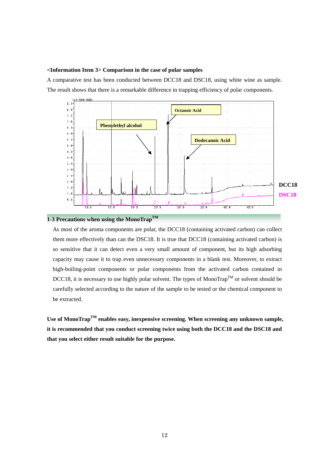#### **<Information Item 3> Comparison in the case of polar samples**

A comparative test has been conducted between DCC18 and DSC18, using white wine as sample. The result shows that there is a remarkable difference in trapping efficiency of polar components.



# **1-3 Precautions when using the MonoTrapTM**

As most of the aroma components are polar, the DCC18 (containing activated carbon) can collect them more effectively than can the DSC18. It is true that DCC18 (containing activated carbon) is so sensitive that it can detect even a very small amount of component, but its high adsorbing capacity may cause it to trap even unnecessary components in a blank test. Moreover, to extract high-boiling-point components or polar components from the activated carbon contained in DCC18, it is necessary to use highly polar solvent. The types of MonoTrap<sup>TM</sup> or solvent should be carefully selected according to the nature of the sample to be tested or the chemical component to be extracted.

Use of MonoTrap<sup>TM</sup> enables easy, inexpensive screening. When screening any unknown sample, **it is recommended that you conduct screening twice using both the DCC18 and the DSC18 and that you select either result suitable for the purpose.**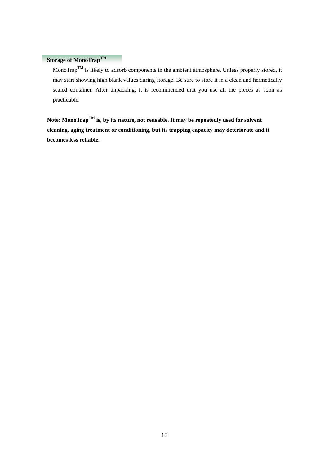# **Storage of MonoTrap<sup>TM</sup>**

MonoTrap<sup>TM</sup> is likely to adsorb components in the ambient atmosphere. Unless properly stored, it may start showing high blank values during storage. Be sure to store it in a clean and hermetically sealed container. After unpacking, it is recommended that you use all the pieces as soon as practicable.

**Note: MonoTrapTM is, by its nature, not reusable. It may be repeatedly used for solvent cleaning, aging treatment or conditioning, but its trapping capacity may deteriorate and it becomes less reliable.**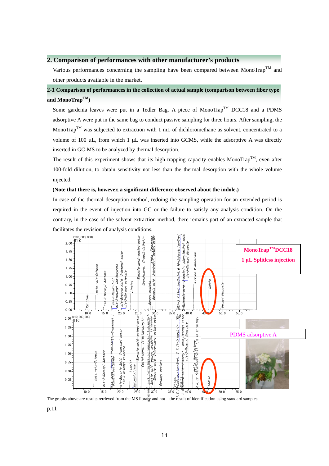## **2. Comparison of performances with other manufacturer's products**

Various performances concerning the sampling have been compared between MonoTrap<sup>TM</sup> and other products available in the market.

# **2-1 Comparison of performances in the collection of actual sample (comparison between fiber type and MonoTrapTM)**

Some gardenia leaves were put in a Tedler Bag. A piece of MonoTrap<sup>TM</sup> DCC18 and a PDMS adsorptive A were put in the same bag to conduct passive sampling for three hours. After sampling, the MonoTrap<sup>TM</sup> was subjected to extraction with 1 mL of dichloromethane as solvent, concentrated to a volume of 100 μL, from which 1 μL was inserted into GCMS, while the adsorptive A was directly inserted in GC-MS to be analyzed by thermal desorption.

The result of this experiment shows that its high trapping capacity enables MonoTrap<sup>TM</sup>, even after 100-fold dilution, to obtain sensitivity not less than the thermal desorption with the whole volume injected.

#### **(Note that there is, however, a significant difference observed about the indole.)**

In case of the thermal desorption method, redoing the sampling operation for an extended period is required in the event of injection into GC or the failure to satisfy any analysis condition. On the contrary, in the case of the solvent extraction method, there remains part of an extracted sample that facilitates the revision of analysis conditions.



The graphs above are results retrieved from the MS library and not the result of identification using standard samples.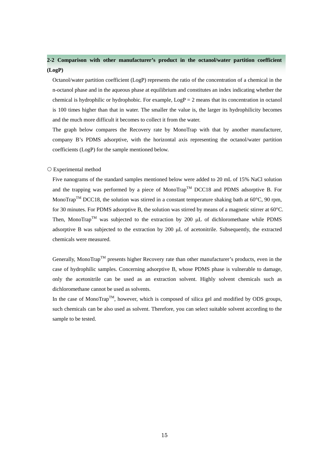# **2-2 Comparison with other manufacturer's product in the octanol/water partition coefficient (LogP)**

Octanol/water partition coefficient (LogP) represents the ratio of the concentration of a chemical in the n-octanol phase and in the aqueous phase at equilibrium and constitutes an index indicating whether the chemical is hydrophilic or hydrophobic. For example,  $LogP = 2$  means that its concentration in octanol is 100 times higher than that in water. The smaller the value is, the larger its hydrophilicity becomes and the much more difficult it becomes to collect it from the water.

The graph below compares the Recovery rate by MonoTrap with that by another manufacturer, company B's PDMS adsorptive, with the horizontal axis representing the octanol/water partition coefficients (LogP) for the sample mentioned below.

#### { Experimental method

Five nanograms of the standard samples mentioned below were added to 20 mL of 15% NaCl solution and the trapping was performed by a piece of MonoTrap<sup>TM</sup> DCC18 and PDMS adsorptive B. For MonoTrap<sup>TM</sup> DCC18, the solution was stirred in a constant temperature shaking bath at  $60^{\circ}$ C, 90 rpm, for 30 minutes. For PDMS adsorptive B, the solution was stirred by means of a magnetic stirrer at  $60^{\circ}$ C. Then, MonoTrap<sup>TM</sup> was subjected to the extraction by 200  $\mu$ L of dichloromethane while PDMS adsorptive B was subjected to the extraction by 200 μL of acetonitrile. Subsequently, the extracted chemicals were measured.

Generally, MonoTrap<sup>TM</sup> presents higher Recovery rate than other manufacturer's products, even in the case of hydrophilic samples. Concerning adsorptive B, whose PDMS phase is vulnerable to damage, only the acetonitrile can be used as an extraction solvent. Highly solvent chemicals such as dichloromethane cannot be used as solvents.

In the case of MonoTrap<sup>TM</sup>, however, which is composed of silica gel and modified by ODS groups, such chemicals can be also used as solvent. Therefore, you can select suitable solvent according to the sample to be tested.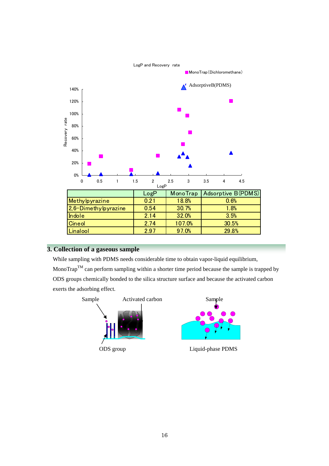

# **3. Collection of a gaseous sample**

While sampling with PDMS needs considerable time to obtain vapor-liquid equilibrium, MonoTrap<sup>TM</sup> can perform sampling within a shorter time period because the sample is trapped by ODS groups chemically bonded to the silica structure surface and because the activated carbon exerts the adsorbing effect.

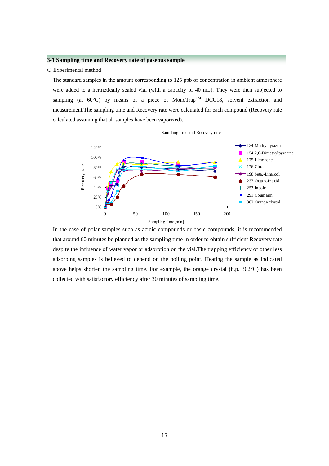#### **3-1 Sampling time and Recovery rate of gaseous sample**

#### { Experimental method

The standard samples in the amount corresponding to 125 ppb of concentration in ambient atmosphere were added to a hermetically sealed vial (with a capacity of 40 mL). They were then subjected to sampling (at  $60^{\circ}$ C) by means of a piece of MonoTrap<sup>TM</sup> DCC18, solvent extraction and measurement.The sampling time and Recovery rate were calculated for each compound (Recovery rate calculated assuming that all samples have been vaporized).

Sampling time and Recovery rate



In the case of polar samples such as acidic compounds or basic compounds, it is recommended that around 60 minutes be planned as the sampling time in order to obtain sufficient Recovery rate despite the influence of water vapor or adsorption on the vial.The trapping efficiency of other less adsorbing samples is believed to depend on the boiling point. Heating the sample as indicated above helps shorten the sampling time. For example, the orange crystal (b.p. 302°C) has been collected with satisfactory efficiency after 30 minutes of sampling time.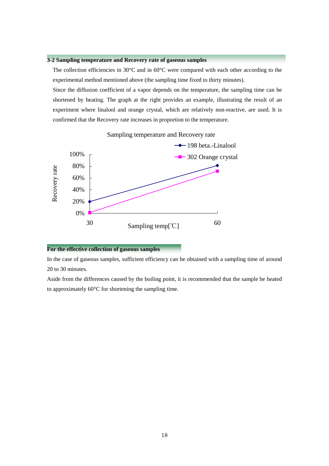#### **3-2 Sampling temperature and Recovery rate of gaseous samples**

The collection efficiencies in 30°C and in 60°C were compared with each other according to the experimental method mentioned above (the sampling time fixed to thirty minutes).

Since the diffusion coefficient of a vapor depends on the temperature, the sampling time can be shortened by heating. The graph at the right provides an example, illustrating the result of an experiment where linalool and orange crystal, which are relatively non-reactive, are used. It is confirmed that the Recovery rate increases in proportion to the temperature.



#### Sampling temperature and Recovery rate

#### For the effective collection of gaseous samples

In the case of gaseous samples, sufficient efficiency can be obtained with a sampling time of around 20 to 30 minutes.

Aside from the differences caused by the boiling point, it is recommended that the sample be heated to approximately 60°C for shortening the sampling time.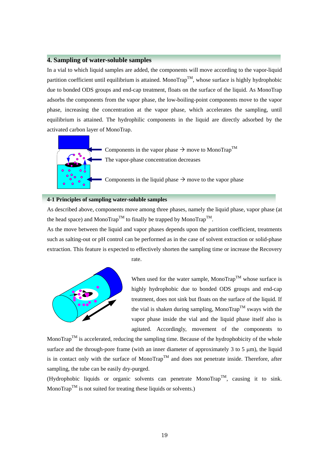# **4. Sampling of water-soluble samples**

In a vial to which liquid samples are added, the components will move according to the vapor-liquid partition coefficient until equilibrium is attained. MonoTrap<sup>TM</sup>, whose surface is highly hydrophobic due to bonded ODS groups and end-cap treatment, floats on the surface of the liquid. As MonoTrap adsorbs the components from the vapor phase, the low-boiling-point components move to the vapor phase, increasing the concentration at the vapor phase, which accelerates the sampling, until equilibrium is attained. The hydrophilic components in the liquid are directly adsorbed by the activated carbon layer of MonoTrap.



Components in the vapor phase  $\rightarrow$  move to MonoTrap<sup>TM</sup> The vapor-phase concentration decreases

Components in the liquid phase  $\rightarrow$  move to the vapor phase

#### **4-1 Principles of sampling water-soluble samples**

As described above, components move among three phases, namely the liquid phase, vapor phase (at the head space) and MonoTrap<sup>TM</sup> to finally be trapped by MonoTrap<sup>TM</sup>.

As the move between the liquid and vapor phases depends upon the partition coefficient, treatments such as salting-out or pH control can be performed as in the case of solvent extraction or solid-phase extraction. This feature is expected to effectively shorten the sampling time or increase the Recovery



rate.

When used for the water sample, MonoTrap<sup>TM</sup> whose surface is highly hydrophobic due to bonded ODS groups and end-cap treatment, does not sink but floats on the surface of the liquid. If the vial is shaken during sampling, MonoTrap<sup>TM</sup> sways with the vapor phase inside the vial and the liquid phase itself also is agitated. Accordingly, movement of the components to

MonoTrap<sup>TM</sup> is accelerated, reducing the sampling time. Because of the hydrophobicity of the whole surface and the through-pore frame (with an inner diameter of approximately 3 to 5  $\mu$ m), the liquid is in contact only with the surface of MonoTrap<sup>TM</sup> and does not penetrate inside. Therefore, after sampling, the tube can be easily dry-purged.

(Hydrophobic liquids or organic solvents can penetrate MonoTrap<sup>TM</sup>, causing it to sink. Mono $\text{Trap}^{\text{TM}}$  is not suited for treating these liquids or solvents.)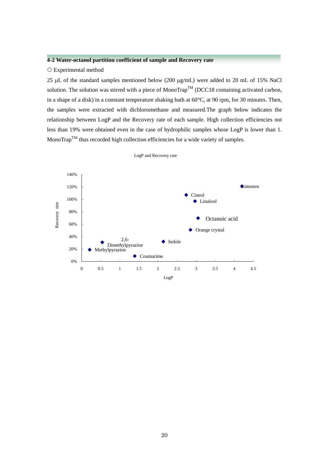## **4-2 Water-octanol partition coefficient of sample and Recovery rate**

#### { Experimental method

25 μL of the standard samples mentioned below (200 μg/mL) were added to 20 mL of 15% NaCl solution. The solution was stirred with a piece of MonoTrap<sup>TM</sup> (DCC18 containing activated carbon, in a shape of a disk) in a constant temperature shaking bath at 60°C, at 90 rpm, for 30 minutes. Then, the samples were extracted with dichloromethane and measured.The graph below indicates the relationship between LogP and the Recovery rate of each sample. High collection efficiencies not less than 19% were obtained even in the case of hydrophilic samples whose LogP is lower than 1. MonoTrap<sup>TM</sup> thus recorded high collection efficiencies for a wide variety of samples.



LogP and Recovery rate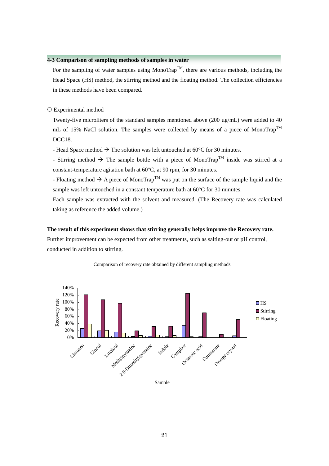## **4-3 Comparison of sampling methods of samples in water**

For the sampling of water samples using MonoTrap<sup>TM</sup>, there are various methods, including the Head Space (HS) method, the stirring method and the floating method. The collection efficiencies in these methods have been compared.

#### { Experimental method

Twenty-five microliters of the standard samples mentioned above (200 μg/mL) were added to 40 mL of 15% NaCl solution. The samples were collected by means of a piece of MonoTrap<sup>TM</sup> DCC18.

- Head Space method  $\rightarrow$  The solution was left untouched at 60°C for 30 minutes.

- Stirring method  $\rightarrow$  The sample bottle with a piece of MonoTrap<sup>TM</sup> inside was stirred at a constant-temperature agitation bath at 60°C, at 90 rpm, for 30 minutes.

- Floating method  $\rightarrow$  A piece of MonoTrap<sup>TM</sup> was put on the surface of the sample liquid and the sample was left untouched in a constant temperature bath at 60°C for 30 minutes.

Each sample was extracted with the solvent and measured. (The Recovery rate was calculated taking as reference the added volume.)

#### **The result of this experiment shows that stirring generally helps improve the Recovery rate.**

Further improvement can be expected from other treatments, such as salting-out or pH control, conducted in addition to stirring.



#### Comparison of recovery rate obtained by different sampling methods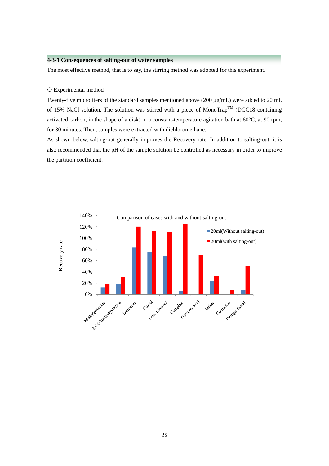## **4-3-1 Consequences of salting-out of water samples**

The most effective method, that is to say, the stirring method was adopted for this experiment.

#### { Experimental method

Twenty-five microliters of the standard samples mentioned above (200 μg/mL) were added to 20 mL of 15% NaCl solution. The solution was stirred with a piece of MonoTrap<sup>TM</sup> (DCC18 containing activated carbon, in the shape of a disk) in a constant-temperature agitation bath at 60°C, at 90 rpm, for 30 minutes. Then, samples were extracted with dichloromethane.

As shown below, salting-out generally improves the Recovery rate. In addition to salting-out, it is also recommended that the pH of the sample solution be controlled as necessary in order to improve the partition coefficient.

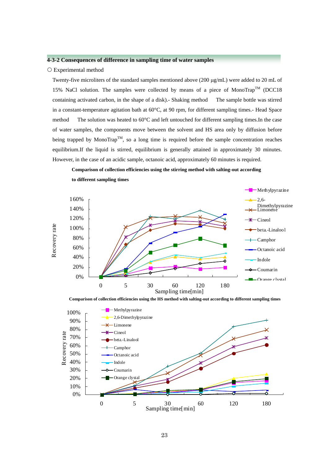#### **4-3-2 Consequences of difference in sampling time of water samples**

#### ${\circ}$  Experimental method

Twenty-five microliters of the standard samples mentioned above (200 μg/mL) were added to 20 mL of 15% NaCl solution. The samples were collected by means of a piece of MonoTrap<sup>TM</sup> (DCC18 containing activated carbon, in the shape of a disk).- Shaking method The sample bottle was stirred in a constant-temperature agitation bath at 60°C, at 90 rpm, for different sampling times.- Head Space method The solution was heated to 60°C and left untouched for different sampling times.In the case of water samples, the components move between the solvent and HS area only by diffusion before being trapped by MonoTrap<sup>TM</sup>, so a long time is required before the sample concentration reaches equilibrium.If the liquid is stirred, equilibrium is generally attained in approximately 30 minutes. However, in the case of an acidic sample, octanoic acid, approximately 60 minutes is required.

**Comparison of collection efficiencies using the stirring method with salting-out according** 



**to different sampling times**



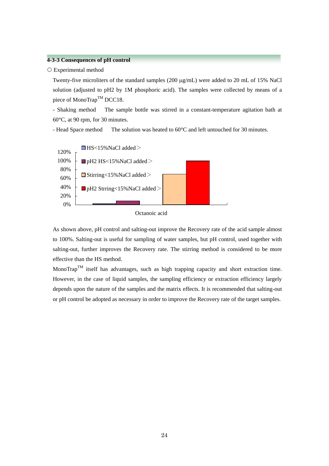## **4-3-3 Consequences of pH control**

#### { Experimental method

Twenty-five microliters of the standard samples (200 μg/mL) were added to 20 mL of 15% NaCl solution (adjusted to pH2 by 1M phosphoric acid). The samples were collected by means of a piece of MonoTrap<sup>TM</sup> DCC18.

- Shaking method The sample bottle was stirred in a constant-temperature agitation bath at 60°C, at 90 rpm, for 30 minutes.

- Head Space method The solution was heated to 60°C and left untouched for 30 minutes.





As shown above, pH control and salting-out improve the Recovery rate of the acid sample almost to 100%. Salting-out is useful for sampling of water samples, but pH control, used together with salting-out, further improves the Recovery rate. The stirring method is considered to be more effective than the HS method.

MonoTrap<sup>TM</sup> itself has advantages, such as high trapping capacity and short extraction time. However, in the case of liquid samples, the sampling efficiency or extraction efficiency largely depends upon the nature of the samples and the matrix effects. It is recommended that salting-out or pH control be adopted as necessary in order to improve the Recovery rate of the target samples.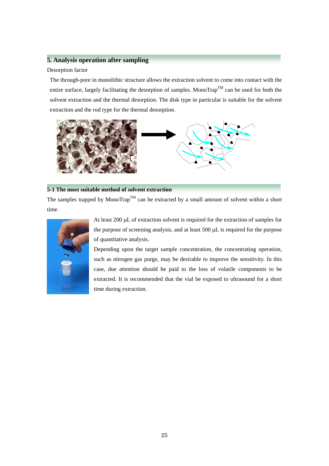# **5. Analysis operation after sampling**

#### Desorption factor

The through-pore in monolithic structure allows the extraction solvent to come into contact with the entire surface, largely facilitating the desorption of samples. MonoTrap<sup>TM</sup> can be used for both the solvent extraction and the thermal desorption. The disk type in particular is suitable for the solvent extraction and the rod type for the thermal desorption.



## **5-1 The most suitable method of solvent extraction**

The samples trapped by MonoTrap<sup>TM</sup> can be extracted by a small amount of solvent within a short time.



At least 200 μL of extraction solvent is required for the extraction of samples for the purpose of screening analysis, and at least 500 μL is required for the purpose of quantitative analysis.

Depending upon the target sample concentration, the concentrating operation, such as nitrogen gas purge, may be desirable to improve the sensitivity. In this case, due attention should be paid to the loss of volatile components to be extracted. It is recommended that the vial be exposed to ultrasound for a short time during extraction.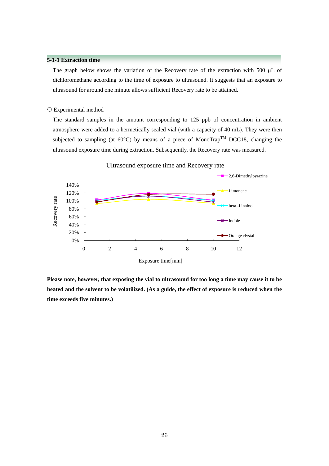## **5-1-1 Extraction time**

The graph below shows the variation of the Recovery rate of the extraction with 500 μL of dichloromethane according to the time of exposure to ultrasound. It suggests that an exposure to ultrasound for around one minute allows sufficient Recovery rate to be attained.

#### { Experimental method

The standard samples in the amount corresponding to 125 ppb of concentration in ambient atmosphere were added to a hermetically sealed vial (with a capacity of 40 mL). They were then subjected to sampling (at  $60^{\circ}$ C) by means of a piece of MonoTrap<sup>TM</sup> DCC18, changing the ultrasound exposure time during extraction. Subsequently, the Recovery rate was measured.



Ultrasound exposure time and Recovery rate

**Please note, however, that exposing the vial to ultrasound for too long a time may cause it to be heated and the solvent to be volatilized. (As a guide, the effect of exposure is reduced when the time exceeds five minutes.)**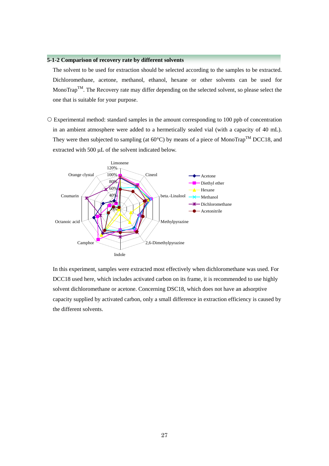## **5-1-2 Comparison of recovery rate by different solvents**

The solvent to be used for extraction should be selected according to the samples to be extracted. Dichloromethane, acetone, methanol, ethanol, hexane or other solvents can be used for MonoTrap<sup>TM</sup>. The Recovery rate may differ depending on the selected solvent, so please select the one that is suitable for your purpose.

 $\circ$  Experimental method: standard samples in the amount corresponding to 100 ppb of concentration in an ambient atmosphere were added to a hermetically sealed vial (with a capacity of 40 mL). They were then subjected to sampling (at  $60^{\circ}$ C) by means of a piece of MonoTrap<sup>TM</sup> DCC18, and extracted with 500 μL of the solvent indicated below.



In this experiment, samples were extracted most effectively when dichloromethane was used. For DCC18 used here, which includes activated carbon on its frame, it is recommended to use highly solvent dichloromethane or acetone. Concerning DSC18, which does not have an adsorptive capacity supplied by activated carbon, only a small difference in extraction efficiency is caused by the different solvents.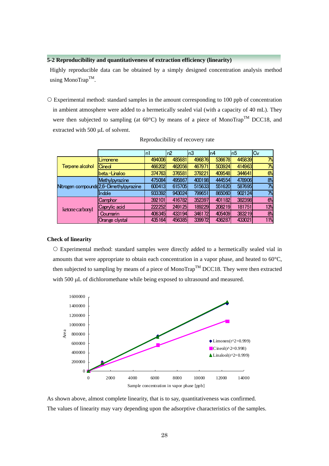#### **5-2 Reproducibility and quantitativeness of extraction efficiency (linearity)**

Highly reproducible data can be obtained by a simply designed concentration analysis method using MonoTrap<sup>TM</sup>.

{ Experimental method: standard samples in the amount corresponding to 100 ppb of concentration in ambient atmosphere were added to a hermetically sealed vial (with a capacity of 40 mL). They were then subjected to sampling (at  $60^{\circ}$ C) by means of a piece of MonoTrap<sup>TM</sup> DCC18. and extracted with 500 μL of solvent.

|                 |                                         | n1     | n2     | n3     | n4     | n5     | $C_{V}$ |
|-----------------|-----------------------------------------|--------|--------|--------|--------|--------|---------|
| Terpene alcohol | Limonene                                | 494006 | 485681 | 496876 | 536678 | 445839 | 7%      |
|                 | Cineol                                  | 466202 | 462056 | 467971 | 503924 | 414963 | 7%      |
|                 | beta.-Linaloo                           | 374763 | 376581 | 379221 | 409548 | 344641 | 6%      |
|                 | Methylpyrazine                          | 475084 | 495867 | 400198 | 444554 | 478906 | 8%      |
|                 | Nitrogen compounds 2,6-Dimethylpyrazine | 600413 | 615705 | 515633 | 551620 | 587695 | 7%      |
|                 | Indole                                  | 933392 | 943024 | 799651 | 865060 | 902124 | 7%      |
|                 | Camphor                                 | 392101 | 416782 | 352397 | 401182 | 382398 | 6%      |
| ketone carbonyl | Caprylic acid                           | 222252 | 249125 | 189229 | 208219 | 181751 | 13%     |
|                 | Coumarin                                | 406345 | 433194 | 346172 | 405409 | 383219 | 8%      |
|                 | Orange clystal                          | 435164 | 456385 | 339972 | 436287 | 433021 | 11%     |

Reproducibility of recovery rate

#### **Check of linearity**

{ Experimental method: standard samples were directly added to a hermetically sealed vial in amounts that were appropriate to obtain each concentration in a vapor phase, and heated to 60°C, then subjected to sampling by means of a piece of MonoTrap<sup>TM</sup> DCC18. They were then extracted with 500 μL of dichloromethane while being exposed to ultrasound and measured.



As shown above, almost complete linearity, that is to say, quantitativeness was confirmed. The values of linearity may vary depending upon the adsorptive characteristics of the samples.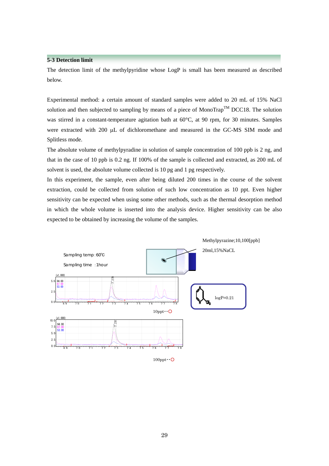## **5-3 Detection limit**

The detection limit of the methylpyridine whose LogP is small has been measured as described below.

Experimental method: a certain amount of standard samples were added to 20 mL of 15% NaCl solution and then subjected to sampling by means of a piece of MonoTrap<sup>TM</sup> DCC18. The solution was stirred in a constant-temperature agitation bath at 60°C, at 90 rpm, for 30 minutes. Samples were extracted with 200 μL of dichloromethane and measured in the GC-MS SIM mode and Splitless mode.

The absolute volume of methylpyradine in solution of sample concentration of 100 ppb is 2 ng, and that in the case of 10 ppb is 0.2 ng. If 100% of the sample is collected and extracted, as 200 mL of solvent is used, the absolute volume collected is 10 pg and 1 pg respectively.

In this experiment, the sample, even after being diluted 200 times in the course of the solvent extraction, could be collected from solution of such low concentration as 10 ppt. Even higher sensitivity can be expected when using some other methods, such as the thermal desorption method in which the whole volume is inserted into the analysis device. Higher sensitivity can be also expected to be obtained by increasing the volume of the samples.



29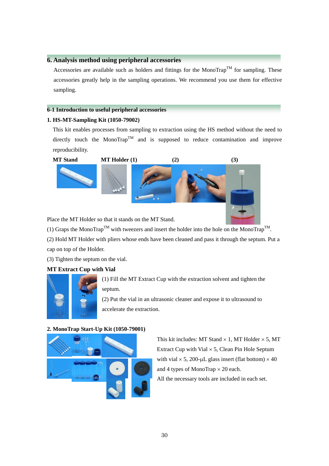# **6. Analysis method using peripheral accessories**

Accessories are available such as holders and fittings for the MonoTrap<sup>TM</sup> for sampling. These accessories greatly help in the sampling operations. We recommend you use them for effective sampling.

## **6-1 Introduction to useful peripheral accessories**

# **1. HS-MT-Sampling Kit (1050-79002)**

This kit enables processes from sampling to extraction using the HS method without the need to directly touch the MonoTrap<sup>TM</sup> and is supposed to reduce contamination and improve reproducibility.



Place the MT Holder so that it stands on the MT Stand.

(1) Graps the MonoTrap<sup>TM</sup> with tweezers and insert the holder into the hole on the MonoTrap<sup>TM</sup>.

(2) Hold MT Holder with pliers whose ends have been cleaned and pass it through the septum. Put a cap on top of the Holder.

(3) Tighten the septum on the vial.

# **MT Extract Cup with Vial**



(1) Fill the MT Extract Cup with the extraction solvent and tighten the septum.

(2) Put the vial in an ultrasonic cleaner and expose it to ultrasound to accelerate the extraction.

## **2. MonoTrap Start-Up Kit (1050-79001)**



This kit includes: MT Stand  $\times$  1, MT Holder  $\times$  5, MT Extract Cup with Vial  $\times$  5, Clean Pin Hole Septum with vial  $\times$  5, 200-µL glass insert (flat bottom)  $\times$  40 and 4 types of MonoTrap  $\times$  20 each. All the necessary tools are included in each set.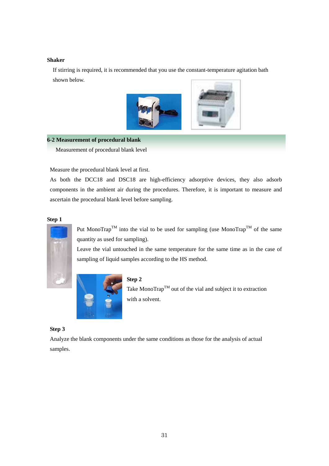#### **Shaker**

If stirring is required, it is recommended that you use the constant-temperature agitation bath shown below.



## **6-2 Measurement of procedural blank**

Measurement of procedural blank level

Measure the procedural blank level at first.

As both the DCC18 and DSC18 are high-efficiency adsorptive devices, they also adsorb components in the ambient air during the procedures. Therefore, it is important to measure and ascertain the procedural blank level before sampling.

#### **Step 1**



Put MonoTrap<sup>TM</sup> into the vial to be used for sampling (use MonoTrap<sup>TM</sup> of the same quantity as used for sampling).

Leave the vial untouched in the same temperature for the same time as in the case of sampling of liquid samples according to the HS method.



#### **Step 2**

Take Mono $\text{Trap}^{\text{TM}}$  out of the vial and subject it to extraction with a solvent.

## **Step 3**

Analyze the blank components under the same conditions as those for the analysis of actual samples.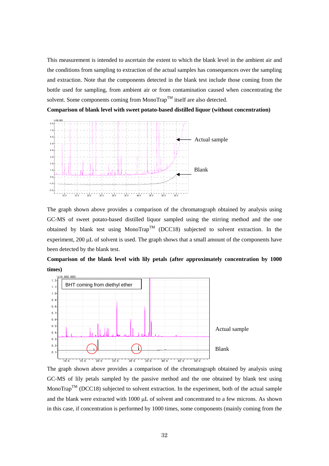This measurement is intended to ascertain the extent to which the blank level in the ambient air and the conditions from sampling to extraction of the actual samples has consequences over the sampling and extraction. Note that the components detected in the blank test include those coming from the bottle used for sampling, from ambient air or from contamination caused when concentrating the solvent. Some components coming from MonoTrap<sup>TM</sup> itself are also detected.

**Comparison of blank level with sweet potato-based distilled liquor (without concentration)** 



The graph shown above provides a comparison of the chromatograph obtained by analysis using GC-MS of sweet potato-based distilled liquor sampled using the stirring method and the one obtained by blank test using MonoTrap<sup>TM</sup> (DCC18) subjected to solvent extraction. In the experiment, 200 μL of solvent is used. The graph shows that a small amount of the components have been detected by the blank test.





The graph shown above provides a comparison of the chromatograph obtained by analysis using GC-MS of lily petals sampled by the passive method and the one obtained by blank test using MonoTrap<sup>TM</sup> (DCC18) subjected to solvent extraction. In the experiment, both of the actual sample and the blank were extracted with 1000 μL of solvent and concentrated to a few microns. As shown in this case, if concentration is performed by 1000 times, some components (mainly coming from the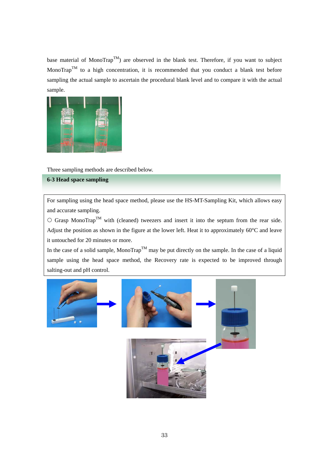base material of MonoTrap<sup>TM</sup>) are observed in the blank test. Therefore, if you want to subject MonoTrap<sup>TM</sup> to a high concentration, it is recommended that you conduct a blank test before sampling the actual sample to ascertain the procedural blank level and to compare it with the actual sample.



Three sampling methods are described below.

# **6-3 Head space sampling**

For sampling using the head space method, please use the HS-MT-Sampling Kit, which allows easy and accurate sampling.

 ${\rm C}$  Grasp MonoTrap<sup>TM</sup> with (cleaned) tweezers and insert it into the septum from the rear side. Adjust the position as shown in the figure at the lower left. Heat it to approximately 60°C and leave it untouched for 20 minutes or more.

In the case of a solid sample, MonoTrap<sup>TM</sup> may be put directly on the sample. In the case of a liquid sample using the head space method, the Recovery rate is expected to be improved through salting-out and pH control.

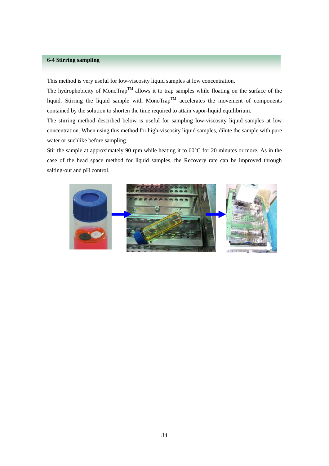## **6-4 Stirring sampling**

This method is very useful for low-viscosity liquid samples at low concentration.

The hydrophobicity of MonoTrap<sup>TM</sup> allows it to trap samples while floating on the surface of the liquid. Stirring the liquid sample with MonoTrap<sup>TM</sup> accelerates the movement of components contained by the solution to shorten the time required to attain vapor-liquid equilibrium.

The stirring method described below is useful for sampling low-viscosity liquid samples at low concentration. When using this method for high-viscosity liquid samples, dilute the sample with pure water or suchlike before sampling.

Stir the sample at approximately 90 rpm while heating it to 60°C for 20 minutes or more. As in the case of the head space method for liquid samples, the Recovery rate can be improved through salting-out and pH control.

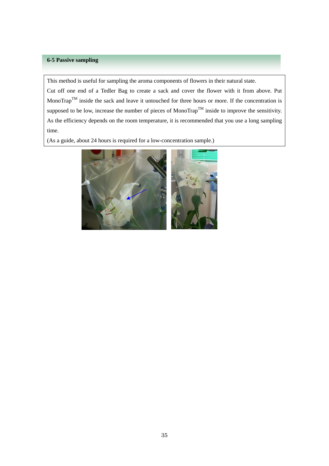## **6-5 Passive sampling**

This method is useful for sampling the aroma components of flowers in their natural state.

Cut off one end of a Tedler Bag to create a sack and cover the flower with it from above. Put MonoTrap<sup>TM</sup> inside the sack and leave it untouched for three hours or more. If the concentration is supposed to be low, increase the number of pieces of MonoTrap<sup>TM</sup> inside to improve the sensitivity. As the efficiency depends on the room temperature, it is recommended that you use a long sampling time.

(As a guide, about 24 hours is required for a low-concentration sample.)